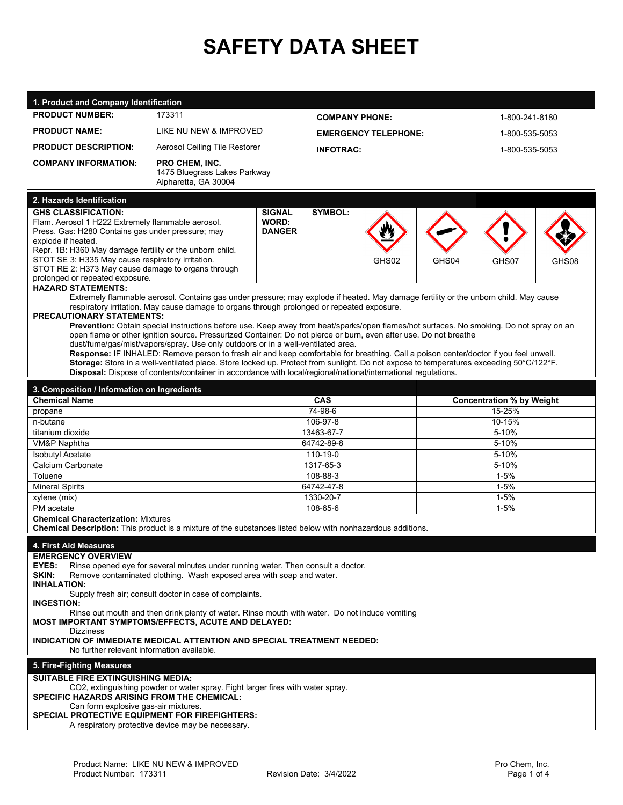## **SAFETY DATA SHEET**

| 1. Product and Company Identification                                                                                                                                                                                    |                                                      |                               |                             |                                  |                      |                |       |
|--------------------------------------------------------------------------------------------------------------------------------------------------------------------------------------------------------------------------|------------------------------------------------------|-------------------------------|-----------------------------|----------------------------------|----------------------|----------------|-------|
| <b>PRODUCT NUMBER:</b>                                                                                                                                                                                                   | 173311                                               |                               | <b>COMPANY PHONE:</b>       |                                  | 1-800-241-8180       |                |       |
| <b>PRODUCT NAME:</b>                                                                                                                                                                                                     | LIKE NU NEW & IMPROVED                               |                               | <b>EMERGENCY TELEPHONE:</b> |                                  |                      | 1-800-535-5053 |       |
| <b>PRODUCT DESCRIPTION:</b>                                                                                                                                                                                              | Aerosol Ceiling Tile Restorer                        |                               | <b>INFOTRAC:</b>            |                                  |                      | 1-800-535-5053 |       |
| <b>COMPANY INFORMATION:</b>                                                                                                                                                                                              | <b>PRO CHEM. INC.</b>                                |                               |                             |                                  |                      |                |       |
|                                                                                                                                                                                                                          | 1475 Bluegrass Lakes Parkway<br>Alpharetta, GA 30004 |                               |                             |                                  |                      |                |       |
| 2. Hazards Identification                                                                                                                                                                                                |                                                      |                               |                             |                                  |                      |                |       |
| <b>GHS CLASSIFICATION:</b>                                                                                                                                                                                               | <b>SIGNAL</b>                                        | <b>SYMBOL:</b>                |                             |                                  |                      |                |       |
| Flam. Aerosol 1 H222 Extremely flammable aerosol.                                                                                                                                                                        |                                                      | <b>WORD:</b><br><b>DANGER</b> |                             |                                  |                      |                |       |
| Press. Gas: H280 Contains gas under pressure; may<br>explode if heated.                                                                                                                                                  |                                                      |                               |                             |                                  |                      |                |       |
| Repr. 1B: H360 May damage fertility or the unborn child.<br>STOT SE 3: H335 May cause respiratory irritation.                                                                                                            |                                                      |                               |                             | GHS02                            | GHS04                |                |       |
| STOT RE 2: H373 May cause damage to organs through                                                                                                                                                                       |                                                      |                               |                             |                                  |                      | GHS07          | GHS08 |
| prolonged or repeated exposure.<br><b>HAZARD STATEMENTS:</b>                                                                                                                                                             |                                                      |                               |                             |                                  |                      |                |       |
| Extremely flammable aerosol. Contains gas under pressure; may explode if heated. May damage fertility or the unborn child. May cause                                                                                     |                                                      |                               |                             |                                  |                      |                |       |
| respiratory irritation. May cause damage to organs through prolonged or repeated exposure.                                                                                                                               |                                                      |                               |                             |                                  |                      |                |       |
| PRECAUTIONARY STATEMENTS:<br>Prevention: Obtain special instructions before use. Keep away from heat/sparks/open flames/hot surfaces. No smoking. Do not spray on an                                                     |                                                      |                               |                             |                                  |                      |                |       |
| open flame or other ignition source. Pressurized Container: Do not pierce or burn, even after use. Do not breathe                                                                                                        |                                                      |                               |                             |                                  |                      |                |       |
| dust/fume/gas/mist/vapors/spray. Use only outdoors or in a well-ventilated area.<br>Response: IF INHALED: Remove person to fresh air and keep comfortable for breathing. Call a poison center/doctor if you feel unwell. |                                                      |                               |                             |                                  |                      |                |       |
| Storage: Store in a well-ventilated place. Store locked up. Protect from sunlight. Do not expose to temperatures exceeding 50°C/122°F.                                                                                   |                                                      |                               |                             |                                  |                      |                |       |
| Disposal: Dispose of contents/container in accordance with local/regional/national/international regulations.                                                                                                            |                                                      |                               |                             |                                  |                      |                |       |
| 3. Composition / Information on Ingredients                                                                                                                                                                              |                                                      |                               |                             |                                  |                      |                |       |
| <b>Chemical Name</b>                                                                                                                                                                                                     |                                                      | <b>CAS</b>                    |                             | <b>Concentration % by Weight</b> |                      |                |       |
| propane                                                                                                                                                                                                                  |                                                      | 74-98-6                       |                             |                                  | 15-25%               |                |       |
| n-butane<br>titanium dioxide                                                                                                                                                                                             |                                                      | 106-97-8<br>13463-67-7        |                             | 10-15%<br>5-10%                  |                      |                |       |
| <b>VM&amp;P Naphtha</b>                                                                                                                                                                                                  |                                                      | 64742-89-8                    |                             | 5-10%                            |                      |                |       |
| <b>Isobutyl Acetate</b>                                                                                                                                                                                                  |                                                      | 110-19-0                      |                             | 5-10%                            |                      |                |       |
| Calcium Carbonate                                                                                                                                                                                                        |                                                      | 1317-65-3                     |                             | 5-10%                            |                      |                |       |
| Toluene                                                                                                                                                                                                                  |                                                      | 108-88-3<br>64742-47-8        |                             |                                  | $1 - 5%$<br>$1 - 5%$ |                |       |
| <b>Mineral Spirits</b><br>xylene (mix)                                                                                                                                                                                   |                                                      | 1330-20-7                     |                             |                                  | $1 - 5%$             |                |       |
| PM acetate                                                                                                                                                                                                               |                                                      | 108-65-6                      |                             |                                  | $1 - 5%$             |                |       |
| <b>Chemical Characterization: Mixtures</b>                                                                                                                                                                               |                                                      |                               |                             |                                  |                      |                |       |
| Chemical Description: This product is a mixture of the substances listed below with nonhazardous additions.                                                                                                              |                                                      |                               |                             |                                  |                      |                |       |
| 4. First Aid Measures                                                                                                                                                                                                    |                                                      |                               |                             |                                  |                      |                |       |
| <b>EMERGENCY OVERVIEW</b>                                                                                                                                                                                                |                                                      |                               |                             |                                  |                      |                |       |
| EYES:<br>Rinse opened eye for several minutes under running water. Then consult a doctor.<br>SKIN:<br>Remove contaminated clothing. Wash exposed area with soap and water.                                               |                                                      |                               |                             |                                  |                      |                |       |
| <b>INHALATION:</b>                                                                                                                                                                                                       |                                                      |                               |                             |                                  |                      |                |       |
| Supply fresh air; consult doctor in case of complaints.<br><b>INGESTION:</b>                                                                                                                                             |                                                      |                               |                             |                                  |                      |                |       |
| Rinse out mouth and then drink plenty of water. Rinse mouth with water. Do not induce vomiting                                                                                                                           |                                                      |                               |                             |                                  |                      |                |       |
| MOST IMPORTANT SYMPTOMS/EFFECTS, ACUTE AND DELAYED:<br><b>Dizziness</b>                                                                                                                                                  |                                                      |                               |                             |                                  |                      |                |       |
| INDICATION OF IMMEDIATE MEDICAL ATTENTION AND SPECIAL TREATMENT NEEDED:<br>No further relevant information available.                                                                                                    |                                                      |                               |                             |                                  |                      |                |       |
| 5. Fire-Fighting Measures                                                                                                                                                                                                |                                                      |                               |                             |                                  |                      |                |       |
| <b>SUITABLE FIRE EXTINGUISHING MEDIA:</b>                                                                                                                                                                                |                                                      |                               |                             |                                  |                      |                |       |
| CO2, extinguishing powder or water spray. Fight larger fires with water spray.                                                                                                                                           |                                                      |                               |                             |                                  |                      |                |       |
| SPECIFIC HAZARDS ARISING FROM THE CHEMICAL:<br>Can form explosive gas-air mixtures.                                                                                                                                      |                                                      |                               |                             |                                  |                      |                |       |
| <b>SPECIAL PROTECTIVE EQUIPMENT FOR FIREFIGHTERS:</b>                                                                                                                                                                    |                                                      |                               |                             |                                  |                      |                |       |
| A respiratory protective device may be necessary.                                                                                                                                                                        |                                                      |                               |                             |                                  |                      |                |       |
|                                                                                                                                                                                                                          |                                                      |                               |                             |                                  |                      |                |       |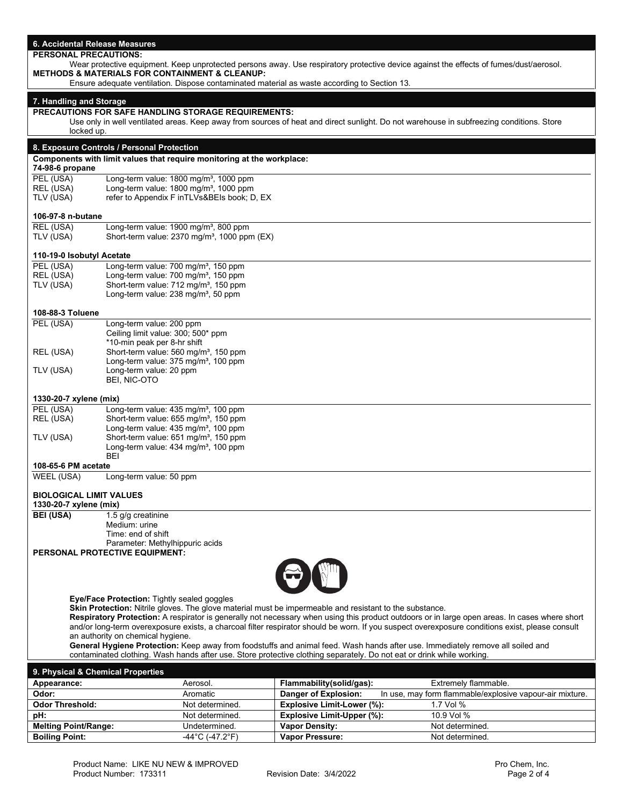| 6. Accidental Release Measures                                                                                                                  |                                                                                                                                                                     |                                                  |                                                                                  |  |
|-------------------------------------------------------------------------------------------------------------------------------------------------|---------------------------------------------------------------------------------------------------------------------------------------------------------------------|--------------------------------------------------|----------------------------------------------------------------------------------|--|
| <b>PERSONAL PRECAUTIONS:</b>                                                                                                                    |                                                                                                                                                                     |                                                  |                                                                                  |  |
| Wear protective equipment. Keep unprotected persons away. Use respiratory protective device against the effects of fumes/dust/aerosol.          |                                                                                                                                                                     |                                                  |                                                                                  |  |
|                                                                                                                                                 | <b>METHODS &amp; MATERIALS FOR CONTAINMENT &amp; CLEANUP:</b><br>Ensure adequate ventilation. Dispose contaminated material as waste according to Section 13.       |                                                  |                                                                                  |  |
|                                                                                                                                                 |                                                                                                                                                                     |                                                  |                                                                                  |  |
| 7. Handling and Storage                                                                                                                         |                                                                                                                                                                     |                                                  |                                                                                  |  |
|                                                                                                                                                 | <b>PRECAUTIONS FOR SAFE HANDLING STORAGE REQUIREMENTS:</b>                                                                                                          |                                                  |                                                                                  |  |
|                                                                                                                                                 | Use only in well ventilated areas. Keep away from sources of heat and direct sunlight. Do not warehouse in subfreezing conditions. Store                            |                                                  |                                                                                  |  |
| locked up.                                                                                                                                      |                                                                                                                                                                     |                                                  |                                                                                  |  |
|                                                                                                                                                 | 8. Exposure Controls / Personal Protection                                                                                                                          |                                                  |                                                                                  |  |
|                                                                                                                                                 | Components with limit values that require monitoring at the workplace:                                                                                              |                                                  |                                                                                  |  |
| 74-98-6 propane                                                                                                                                 |                                                                                                                                                                     |                                                  |                                                                                  |  |
| PEL (USA)<br>REL (USA)                                                                                                                          | Long-term value: $1800$ mg/m <sup>3</sup> , $1000$ ppm<br>Long-term value: 1800 mg/m <sup>3</sup> , 1000 ppm                                                        |                                                  |                                                                                  |  |
| TLV (USA)                                                                                                                                       | refer to Appendix F inTLVs&BEIs book; D, EX                                                                                                                         |                                                  |                                                                                  |  |
|                                                                                                                                                 |                                                                                                                                                                     |                                                  |                                                                                  |  |
| 106-97-8 n-butane                                                                                                                               |                                                                                                                                                                     |                                                  |                                                                                  |  |
| REL (USA)                                                                                                                                       | Long-term value: 1900 mg/m <sup>3</sup> , 800 ppm                                                                                                                   |                                                  |                                                                                  |  |
| TLV (USA)                                                                                                                                       | Short-term value: 2370 mg/m <sup>3</sup> , 1000 ppm (EX)                                                                                                            |                                                  |                                                                                  |  |
| 110-19-0 Isobutyl Acetate                                                                                                                       |                                                                                                                                                                     |                                                  |                                                                                  |  |
| PEL (USA)                                                                                                                                       | Long-term value: 700 mg/m <sup>3</sup> , 150 ppm                                                                                                                    |                                                  |                                                                                  |  |
| REL (USA)                                                                                                                                       | Long-term value: 700 mg/m <sup>3</sup> , 150 ppm                                                                                                                    |                                                  |                                                                                  |  |
| TLV (USA)                                                                                                                                       | Short-term value: 712 mg/m <sup>3</sup> , 150 ppm                                                                                                                   |                                                  |                                                                                  |  |
|                                                                                                                                                 | Long-term value: 238 mg/m <sup>3</sup> , 50 ppm                                                                                                                     |                                                  |                                                                                  |  |
| 108-88-3 Toluene                                                                                                                                |                                                                                                                                                                     |                                                  |                                                                                  |  |
| PEL (USA)                                                                                                                                       | Long-term value: 200 ppm                                                                                                                                            |                                                  |                                                                                  |  |
|                                                                                                                                                 | Ceiling limit value: 300; 500* ppm                                                                                                                                  |                                                  |                                                                                  |  |
|                                                                                                                                                 | *10-min peak per 8-hr shift<br>Short-term value: 560 mg/m <sup>3</sup> , 150 ppm                                                                                    |                                                  |                                                                                  |  |
| REL (USA)                                                                                                                                       | Long-term value: 375 mg/m <sup>3</sup> , 100 ppm                                                                                                                    |                                                  |                                                                                  |  |
| TLV (USA)                                                                                                                                       | Long-term value: 20 ppm                                                                                                                                             |                                                  |                                                                                  |  |
|                                                                                                                                                 | BEI, NIC-OTO                                                                                                                                                        |                                                  |                                                                                  |  |
| 1330-20-7 xylene (mix)                                                                                                                          |                                                                                                                                                                     |                                                  |                                                                                  |  |
| PEL (USA)                                                                                                                                       | Long-term value: 435 mg/m <sup>3</sup> , 100 ppm                                                                                                                    |                                                  |                                                                                  |  |
| REL (USA)                                                                                                                                       | Short-term value: 655 mg/m <sup>3</sup> , 150 ppm                                                                                                                   |                                                  |                                                                                  |  |
|                                                                                                                                                 | Long-term value: 435 mg/m <sup>3</sup> , 100 ppm                                                                                                                    |                                                  |                                                                                  |  |
| TLV (USA)                                                                                                                                       | Short-term value: 651 mg/m <sup>3</sup> , 150 ppm                                                                                                                   |                                                  |                                                                                  |  |
|                                                                                                                                                 | Long-term value: 434 mg/m <sup>3</sup> , 100 ppm<br><b>BEI</b>                                                                                                      |                                                  |                                                                                  |  |
| 108-65-6 PM acetate                                                                                                                             |                                                                                                                                                                     |                                                  |                                                                                  |  |
| WEEL (USA)                                                                                                                                      | Long-term value: 50 ppm                                                                                                                                             |                                                  |                                                                                  |  |
|                                                                                                                                                 |                                                                                                                                                                     |                                                  |                                                                                  |  |
| <b>BIOLOGICAL LIMIT VALUES</b>                                                                                                                  |                                                                                                                                                                     |                                                  |                                                                                  |  |
| 1330-20-7 xylene (mix)<br><b>BEI (USA)</b>                                                                                                      | 1.5 g/g creatinine                                                                                                                                                  |                                                  |                                                                                  |  |
|                                                                                                                                                 | Medium: urine                                                                                                                                                       |                                                  |                                                                                  |  |
|                                                                                                                                                 | Time: end of shift                                                                                                                                                  |                                                  |                                                                                  |  |
|                                                                                                                                                 | Parameter: Methylhippuric acids                                                                                                                                     |                                                  |                                                                                  |  |
|                                                                                                                                                 | PERSONAL PROTECTIVE EQUIPMENT:                                                                                                                                      |                                                  |                                                                                  |  |
|                                                                                                                                                 |                                                                                                                                                                     |                                                  |                                                                                  |  |
|                                                                                                                                                 |                                                                                                                                                                     |                                                  |                                                                                  |  |
|                                                                                                                                                 | Eye/Face Protection: Tightly sealed goggles                                                                                                                         |                                                  |                                                                                  |  |
|                                                                                                                                                 | Skin Protection: Nitrile gloves. The glove material must be impermeable and resistant to the substance.                                                             |                                                  |                                                                                  |  |
| Respiratory Protection: A respirator is generally not necessary when using this product outdoors or in large open areas. In cases where short   |                                                                                                                                                                     |                                                  |                                                                                  |  |
| and/or long-term overexposure exists, a charcoal filter respirator should be worn. If you suspect overexposure conditions exist, please consult |                                                                                                                                                                     |                                                  |                                                                                  |  |
|                                                                                                                                                 | an authority on chemical hygiene.<br>General Hygiene Protection: Keep away from foodstuffs and animal feed. Wash hands after use. Immediately remove all soiled and |                                                  |                                                                                  |  |
|                                                                                                                                                 | contaminated clothing. Wash hands after use. Store protective clothing separately. Do not eat or drink while working.                                               |                                                  |                                                                                  |  |
| 9. Physical & Chemical Properties                                                                                                               |                                                                                                                                                                     |                                                  |                                                                                  |  |
|                                                                                                                                                 |                                                                                                                                                                     |                                                  |                                                                                  |  |
| Appearance:<br>Odor:                                                                                                                            | Aerosol.<br>Aromatic                                                                                                                                                | Flammability(solid/gas):<br>Danger of Explosion: | Extremely flammable.<br>In use, may form flammable/explosive vapour-air mixture. |  |
| <b>Odor Threshold:</b>                                                                                                                          | Not determined.                                                                                                                                                     | Explosive Limit-Lower (%):                       | 1.7 Vol %                                                                        |  |
| pH:                                                                                                                                             | Not determined.                                                                                                                                                     | <b>Explosive Limit-Upper (%):</b>                | 10.9 Vol %                                                                       |  |
| <b>Melting Point/Range:</b>                                                                                                                     | Undetermined.                                                                                                                                                       | <b>Vapor Density:</b>                            | Not determined.                                                                  |  |
| <b>Boiling Point:</b>                                                                                                                           | $-44^{\circ}$ C $(-47.2^{\circ}F)$                                                                                                                                  | Vapor Pressure:                                  | Not determined.                                                                  |  |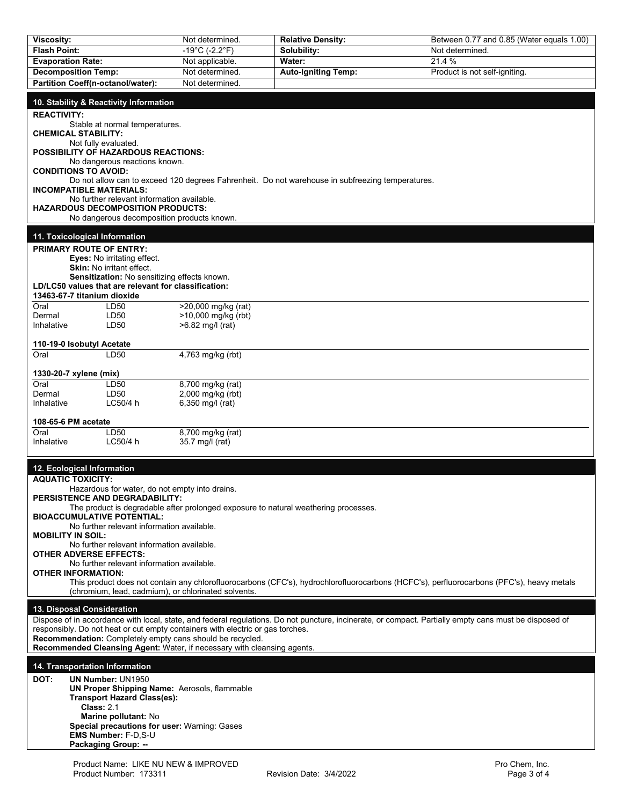| Viscosity:                                                                                                                                  |                                               | Not determined.                                     | <b>Relative Density:</b>                                                                                                                               | Between 0.77 and 0.85 (Water equals 1.00) |
|---------------------------------------------------------------------------------------------------------------------------------------------|-----------------------------------------------|-----------------------------------------------------|--------------------------------------------------------------------------------------------------------------------------------------------------------|-------------------------------------------|
| <b>Flash Point:</b>                                                                                                                         |                                               | $-19^{\circ}$ C (-2.2°F)                            | Solubility:                                                                                                                                            | Not determined.                           |
| <b>Evaporation Rate:</b>                                                                                                                    |                                               | Not applicable.                                     | Water:                                                                                                                                                 | 21.4 %                                    |
| <b>Decomposition Temp:</b>                                                                                                                  |                                               | Not determined.                                     | <b>Auto-Igniting Temp:</b>                                                                                                                             | Product is not self-igniting.             |
| Partition Coeff(n-octanol/water):                                                                                                           |                                               | Not determined.                                     |                                                                                                                                                        |                                           |
| 10. Stability & Reactivity Information                                                                                                      |                                               |                                                     |                                                                                                                                                        |                                           |
| <b>REACTIVITY:</b>                                                                                                                          | Stable at normal temperatures.                |                                                     |                                                                                                                                                        |                                           |
| <b>CHEMICAL STABILITY:</b><br>Not fully evaluated.<br><b>POSSIBILITY OF HAZARDOUS REACTIONS:</b>                                            |                                               |                                                     |                                                                                                                                                        |                                           |
| <b>CONDITIONS TO AVOID:</b>                                                                                                                 | No dangerous reactions known.                 |                                                     |                                                                                                                                                        |                                           |
| <b>INCOMPATIBLE MATERIALS:</b>                                                                                                              |                                               |                                                     | Do not allow can to exceed 120 degrees Fahrenheit. Do not warehouse in subfreezing temperatures.                                                       |                                           |
|                                                                                                                                             | No further relevant information available.    |                                                     |                                                                                                                                                        |                                           |
| <b>HAZARDOUS DECOMPOSITION PRODUCTS:</b>                                                                                                    | No dangerous decomposition products known.    |                                                     |                                                                                                                                                        |                                           |
| 11. Toxicological Information                                                                                                               |                                               |                                                     |                                                                                                                                                        |                                           |
| PRIMARY ROUTE OF ENTRY:                                                                                                                     |                                               |                                                     |                                                                                                                                                        |                                           |
| Skin: No irritant effect.                                                                                                                   | Eyes: No irritating effect.                   |                                                     |                                                                                                                                                        |                                           |
|                                                                                                                                             | Sensitization: No sensitizing effects known.  |                                                     |                                                                                                                                                        |                                           |
| LD/LC50 values that are relevant for classification:                                                                                        |                                               |                                                     |                                                                                                                                                        |                                           |
| 13463-67-7 titanium dioxide<br>Oral                                                                                                         | LD50                                          | >20,000 mg/kg (rat)                                 |                                                                                                                                                        |                                           |
| Dermal                                                                                                                                      | LD50                                          | >10,000 mg/kg (rbt)                                 |                                                                                                                                                        |                                           |
| Inhalative                                                                                                                                  | LD <sub>50</sub>                              | >6.82 mg/l (rat)                                    |                                                                                                                                                        |                                           |
| 110-19-0 Isobutyl Acetate                                                                                                                   |                                               |                                                     |                                                                                                                                                        |                                           |
| Oral                                                                                                                                        | LD50                                          | 4,763 mg/kg (rbt)                                   |                                                                                                                                                        |                                           |
|                                                                                                                                             |                                               |                                                     |                                                                                                                                                        |                                           |
| 1330-20-7 xylene (mix)                                                                                                                      |                                               |                                                     |                                                                                                                                                        |                                           |
| Oral<br>Dermal                                                                                                                              | LD50<br>LD50                                  | 8,700 mg/kg (rat)<br>2,000 mg/kg (rbt)              |                                                                                                                                                        |                                           |
| Inhalative                                                                                                                                  | LC50/4 h                                      | 6,350 mg/l (rat)                                    |                                                                                                                                                        |                                           |
|                                                                                                                                             |                                               |                                                     |                                                                                                                                                        |                                           |
| 108-65-6 PM acetate<br>Oral                                                                                                                 | LD50                                          | 8,700 mg/kg (rat)                                   |                                                                                                                                                        |                                           |
| Inhalative                                                                                                                                  | LC50/4 h                                      | 35.7 mg/l (rat)                                     |                                                                                                                                                        |                                           |
| 12. Ecological Information                                                                                                                  |                                               |                                                     |                                                                                                                                                        |                                           |
| <b>AQUATIC TOXICITY:</b>                                                                                                                    |                                               |                                                     |                                                                                                                                                        |                                           |
|                                                                                                                                             | Hazardous for water, do not empty into drains |                                                     |                                                                                                                                                        |                                           |
| PERSISTENCE AND DEGRADABILITY:                                                                                                              |                                               |                                                     | The product is degradable after prolonged exposure to natural weathering processes.                                                                    |                                           |
| <b>BIOACCUMULATIVE POTENTIAL:</b>                                                                                                           |                                               |                                                     |                                                                                                                                                        |                                           |
|                                                                                                                                             | No further relevant information available.    |                                                     |                                                                                                                                                        |                                           |
| <b>MOBILITY IN SOIL:</b>                                                                                                                    | No further relevant information available.    |                                                     |                                                                                                                                                        |                                           |
| <b>OTHER ADVERSE EFFECTS:</b>                                                                                                               |                                               |                                                     |                                                                                                                                                        |                                           |
| <b>OTHER INFORMATION:</b>                                                                                                                   | No further relevant information available.    |                                                     |                                                                                                                                                        |                                           |
| This product does not contain any chlorofluorocarbons (CFC's), hydrochlorofluorocarbons (HCFC's), perfluorocarbons (PFC's), heavy metals    |                                               |                                                     |                                                                                                                                                        |                                           |
|                                                                                                                                             |                                               | (chromium, lead, cadmium), or chlorinated solvents. |                                                                                                                                                        |                                           |
| 13. Disposal Consideration                                                                                                                  |                                               |                                                     |                                                                                                                                                        |                                           |
|                                                                                                                                             |                                               |                                                     | Dispose of in accordance with local, state, and federal regulations. Do not puncture, incinerate, or compact. Partially empty cans must be disposed of |                                           |
| responsibly. Do not heat or cut empty containers with electric or gas torches.<br>Recommendation: Completely empty cans should be recycled. |                                               |                                                     |                                                                                                                                                        |                                           |
| Recommended Cleansing Agent: Water, if necessary with cleansing agents.                                                                     |                                               |                                                     |                                                                                                                                                        |                                           |
|                                                                                                                                             |                                               |                                                     |                                                                                                                                                        |                                           |
| 14. Transportation Information                                                                                                              |                                               |                                                     |                                                                                                                                                        |                                           |
| DOT:<br><b>UN Number: UN1950</b><br>UN Proper Shipping Name: Aerosols, flammable                                                            |                                               |                                                     |                                                                                                                                                        |                                           |
| <b>Transport Hazard Class(es):</b>                                                                                                          |                                               |                                                     |                                                                                                                                                        |                                           |
| <b>Class: 2.1</b>                                                                                                                           |                                               |                                                     |                                                                                                                                                        |                                           |
| Marine pollutant: No<br>Special precautions for user: Warning: Gases                                                                        |                                               |                                                     |                                                                                                                                                        |                                           |
| <b>EMS Number: F-D,S-U</b>                                                                                                                  |                                               |                                                     |                                                                                                                                                        |                                           |
| <b>Packaging Group: --</b>                                                                                                                  |                                               |                                                     |                                                                                                                                                        |                                           |